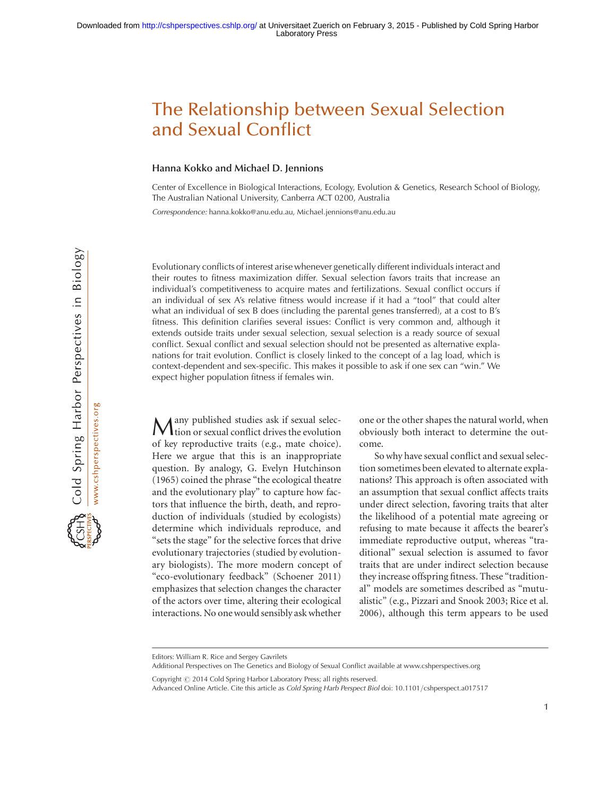# The Relationship between Sexual Selection and Sexual Conflict

### Hanna Kokko and Michael D. Jennions

Center of Excellence in Biological Interactions, Ecology, Evolution & Genetics, Research School of Biology, The Australian National University, Canberra ACT 0200, Australia

Correspondence: hanna.kokko@anu.edu.au, Michael.jennions@anu.edu.au

Evolutionary conflicts of interest arise whenever genetically different individuals interact and their routes to fitness maximization differ. Sexual selection favors traits that increase an individual's competitiveness to acquire mates and fertilizations. Sexual conflict occurs if an individual of sex A's relative fitness would increase if it had a "tool" that could alter what an individual of sex B does (including the parental genes transferred), at a cost to B's fitness. This definition clarifies several issues: Conflict is very common and, although it extends outside traits under sexual selection, sexual selection is a ready source of sexual conflict. Sexual conflict and sexual selection should not be presented as alternative explanations for trait evolution. Conflict is closely linked to the concept of a lag load, which is context-dependent and sex-specific. This makes it possible to ask if one sex can "win." We expect higher population fitness if females win.

Many published studies ask if sexual selec-tion or sexual conflict drives the evolution of key reproductive traits (e.g., mate choice). Here we argue that this is an inappropriate question. By analogy, G. Evelyn Hutchinson (1965) coined the phrase "the ecological theatre and the evolutionary play" to capture how factors that influence the birth, death, and reproduction of individuals (studied by ecologists) determine which individuals reproduce, and "sets the stage" for the selective forces that drive evolutionary trajectories (studied by evolutionary biologists). The more modern concept of "eco-evolutionary feedback" (Schoener 2011) emphasizes that selection changes the character of the actors over time, altering their ecological interactions. No one would sensibly ask whether

one or the other shapes the natural world, when obviously both interact to determine the outcome.

So why have sexual conflict and sexual selection sometimes been elevated to alternate explanations? This approach is often associated with an assumption that sexual conflict affects traits under direct selection, favoring traits that alter the likelihood of a potential mate agreeing or refusing to mate because it affects the bearer's immediate reproductive output, whereas "traditional" sexual selection is assumed to favor traits that are under indirect selection because they increase offspring fitness. These "traditional" models are sometimes described as "mutualistic" (e.g., Pizzari and Snook 2003; Rice et al. 2006), although this term appears to be used

Copyright  $\oslash$  2014 Cold Spring Harbor Laboratory Press; all rights reserved.

Editors: William R. Rice and Sergey Gavrilets

Additional Perspectives on The Genetics and Biology of Sexual Conflict available at www.cshperspectives.org

Advanced Online Article. Cite this article as Cold Spring Harb Perspect Biol doi: 10.1101/cshperspect.a017517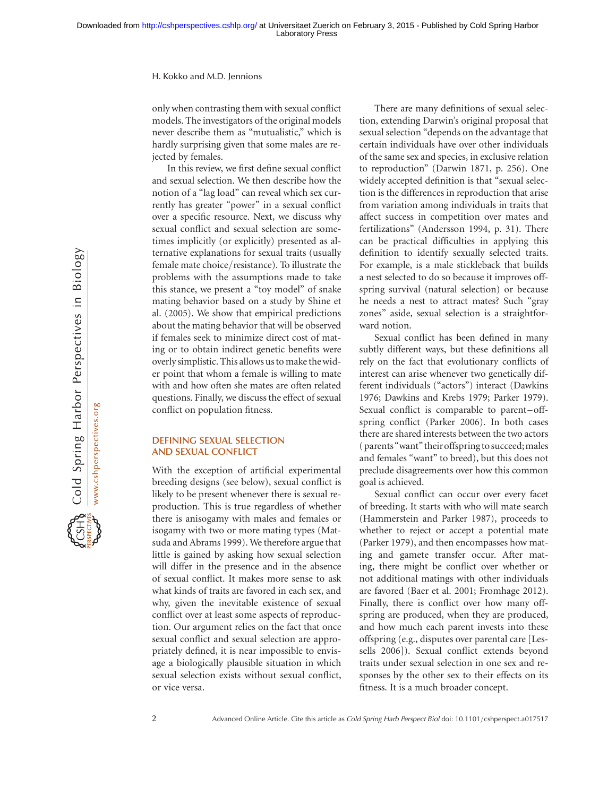only when contrasting them with sexual conflict models. The investigators of the original models never describe them as "mutualistic," which is hardly surprising given that some males are rejected by females.

In this review, we first define sexual conflict and sexual selection. We then describe how the notion of a "lag load" can reveal which sex currently has greater "power" in a sexual conflict over a specific resource. Next, we discuss why sexual conflict and sexual selection are sometimes implicitly (or explicitly) presented as alternative explanations for sexual traits (usually female mate choice/resistance). To illustrate the problems with the assumptions made to take this stance, we present a "toy model" of snake mating behavior based on a study by Shine et al. (2005). We show that empirical predictions about the mating behavior that will be observed if females seek to minimize direct cost of mating or to obtain indirect genetic benefits were overly simplistic. This allows us to make thewider point that whom a female is willing to mate with and how often she mates are often related questions. Finally, we discuss the effect of sexual conflict on population fitness.

## DEFINING SEXUAL SELECTION AND SEXUAL CONFLICT

With the exception of artificial experimental breeding designs (see below), sexual conflict is likely to be present whenever there is sexual reproduction. This is true regardless of whether there is anisogamy with males and females or isogamy with two or more mating types (Matsuda and Abrams 1999). We therefore argue that little is gained by asking how sexual selection will differ in the presence and in the absence of sexual conflict. It makes more sense to ask what kinds of traits are favored in each sex, and why, given the inevitable existence of sexual conflict over at least some aspects of reproduction. Our argument relies on the fact that once sexual conflict and sexual selection are appropriately defined, it is near impossible to envisage a biologically plausible situation in which sexual selection exists without sexual conflict, or vice versa.

There are many definitions of sexual selection, extending Darwin's original proposal that sexual selection "depends on the advantage that certain individuals have over other individuals of the same sex and species, in exclusive relation to reproduction" (Darwin 1871, p. 256). One widely accepted definition is that "sexual selection is the differences in reproduction that arise from variation among individuals in traits that affect success in competition over mates and fertilizations" (Andersson 1994, p. 31). There can be practical difficulties in applying this definition to identify sexually selected traits. For example, is a male stickleback that builds a nest selected to do so because it improves offspring survival (natural selection) or because he needs a nest to attract mates? Such "gray zones" aside, sexual selection is a straightforward notion.

Sexual conflict has been defined in many subtly different ways, but these definitions all rely on the fact that evolutionary conflicts of interest can arise whenever two genetically different individuals ("actors") interact (Dawkins 1976; Dawkins and Krebs 1979; Parker 1979). Sexual conflict is comparable to parent-offspring conflict (Parker 2006). In both cases there are shared interests between the two actors ( parents "want" theiroffspring to succeed;males and females "want" to breed), but this does not preclude disagreements over how this common goal is achieved.

Sexual conflict can occur over every facet of breeding. It starts with who will mate search (Hammerstein and Parker 1987), proceeds to whether to reject or accept a potential mate (Parker 1979), and then encompasses how mating and gamete transfer occur. After mating, there might be conflict over whether or not additional matings with other individuals are favored (Baer et al. 2001; Fromhage 2012). Finally, there is conflict over how many offspring are produced, when they are produced, and how much each parent invests into these offspring (e.g., disputes over parental care [Lessells 2006]). Sexual conflict extends beyond traits under sexual selection in one sex and responses by the other sex to their effects on its fitness. It is a much broader concept.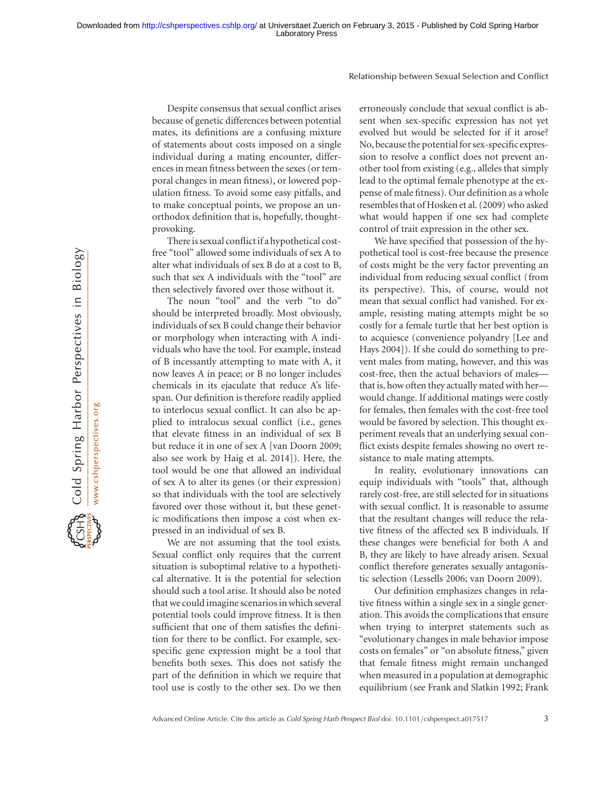Despite consensus that sexual conflict arises because of genetic differences between potential mates, its definitions are a confusing mixture of statements about costs imposed on a single individual during a mating encounter, differences in mean fitness between the sexes (or temporal changes in mean fitness), or lowered population fitness. To avoid some easy pitfalls, and to make conceptual points, we propose an unorthodox definition that is, hopefully, thoughtprovoking.

There is sexual conflict if a hypothetical costfree "tool" allowed some individuals of sex A to alter what individuals of sex B do at a cost to B, such that sex A individuals with the "tool" are then selectively favored over those without it.

The noun "tool" and the verb "to do" should be interpreted broadly. Most obviously, individuals of sex B could change their behavior or morphology when interacting with A individuals who have the tool. For example, instead of B incessantly attempting to mate with A, it now leaves A in peace; or B no longer includes chemicals in its ejaculate that reduce A's lifespan. Our definition is therefore readily applied to interlocus sexual conflict. It can also be applied to intralocus sexual conflict (i.e., genes that elevate fitness in an individual of sex B but reduce it in one of sex A [van Doorn 2009; also see work by Haig et al. 2014]). Here, the tool would be one that allowed an individual of sex A to alter its genes (or their expression) so that individuals with the tool are selectively favored over those without it, but these genetic modifications then impose a cost when expressed in an individual of sex B.

We are not assuming that the tool exists. Sexual conflict only requires that the current situation is suboptimal relative to a hypothetical alternative. It is the potential for selection should such a tool arise. It should also be noted that we could imagine scenarios in which several potential tools could improve fitness. It is then sufficient that one of them satisfies the definition for there to be conflict. For example, sexspecific gene expression might be a tool that benefits both sexes. This does not satisfy the part of the definition in which we require that tool use is costly to the other sex. Do we then

erroneously conclude that sexual conflict is absent when sex-specific expression has not yet evolved but would be selected for if it arose? No, because the potential for sex-specific expression to resolve a conflict does not prevent another tool from existing (e.g., alleles that simply lead to the optimal female phenotype at the expense of male fitness). Our definition as a whole resembles that of Hosken et al. (2009) who asked what would happen if one sex had complete control of trait expression in the other sex.

We have specified that possession of the hypothetical tool is cost-free because the presence of costs might be the very factor preventing an individual from reducing sexual conflict (from its perspective). This, of course, would not mean that sexual conflict had vanished. For example, resisting mating attempts might be so costly for a female turtle that her best option is to acquiesce (convenience polyandry [Lee and Hays 2004]). If she could do something to prevent males from mating, however, and this was cost-free, then the actual behaviors of males that is, how often they actually mated with her would change. If additional matings were costly for females, then females with the cost-free tool would be favored by selection. This thought experiment reveals that an underlying sexual conflict exists despite females showing no overt resistance to male mating attempts.

In reality, evolutionary innovations can equip individuals with "tools" that, although rarely cost-free, are still selected for in situations with sexual conflict. It is reasonable to assume that the resultant changes will reduce the relative fitness of the affected sex B individuals. If these changes were beneficial for both A and B, they are likely to have already arisen. Sexual conflict therefore generates sexually antagonistic selection (Lessells 2006; van Doorn 2009).

Our definition emphasizes changes in relative fitness within a single sex in a single generation. This avoids the complications that ensure when trying to interpret statements such as "evolutionary changes in male behavior impose costs on females" or "on absolute fitness," given that female fitness might remain unchanged when measured in a population at demographic equilibrium (see Frank and Slatkin 1992; Frank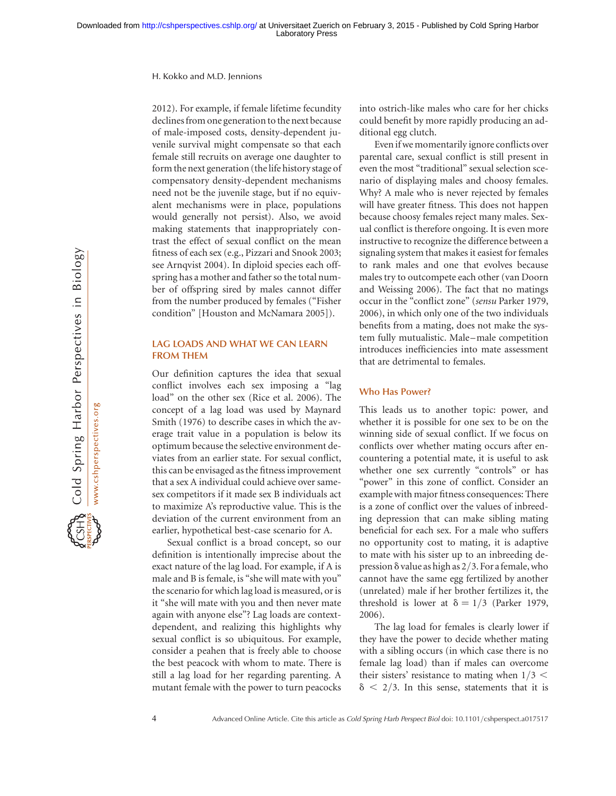2012). For example, if female lifetime fecundity declines from one generation to the next because of male-imposed costs, density-dependent juvenile survival might compensate so that each female still recruits on average one daughter to form the next generation (the life history stage of compensatory density-dependent mechanisms need not be the juvenile stage, but if no equivalent mechanisms were in place, populations would generally not persist). Also, we avoid making statements that inappropriately contrast the effect of sexual conflict on the mean fitness of each sex (e.g., Pizzari and Snook 2003; see Arnqvist 2004). In diploid species each offspring has a mother and father so the total number of offspring sired by males cannot differ from the number produced by females ("Fisher condition" [Houston and McNamara 2005]).

## LAG LOADS AND WHAT WE CAN LEARN FROM THEM

Our definition captures the idea that sexual conflict involves each sex imposing a "lag load" on the other sex (Rice et al. 2006). The concept of a lag load was used by Maynard Smith (1976) to describe cases in which the average trait value in a population is below its optimum because the selective environment deviates from an earlier state. For sexual conflict, this can be envisaged as the fitness improvement that a sex A individual could achieve over samesex competitors if it made sex B individuals act to maximize A's reproductive value. This is the deviation of the current environment from an earlier, hypothetical best-case scenario for A.

Sexual conflict is a broad concept, so our definition is intentionally imprecise about the exact nature of the lag load. For example, if A is male and B is female, is "she will mate with you" the scenario for which lag load is measured, or is it "she will mate with you and then never mate again with anyone else"? Lag loads are contextdependent, and realizing this highlights why sexual conflict is so ubiquitous. For example, consider a peahen that is freely able to choose the best peacock with whom to mate. There is still a lag load for her regarding parenting. A mutant female with the power to turn peacocks

into ostrich-like males who care for her chicks could benefit by more rapidly producing an additional egg clutch.

Even if we momentarily ignore conflicts over parental care, sexual conflict is still present in even the most "traditional" sexual selection scenario of displaying males and choosy females. Why? A male who is never rejected by females will have greater fitness. This does not happen because choosy females reject many males. Sexual conflict is therefore ongoing. It is even more instructive to recognize the difference between a signaling system that makes it easiest for females to rank males and one that evolves because males try to outcompete each other (van Doorn and Weissing 2006). The fact that no matings occur in the "conflict zone" (sensu Parker 1979, 2006), in which only one of the two individuals benefits from a mating, does not make the system fully mutualistic. Male-male competition introduces inefficiencies into mate assessment that are detrimental to females.

## Who Has Power?

This leads us to another topic: power, and whether it is possible for one sex to be on the winning side of sexual conflict. If we focus on conflicts over whether mating occurs after encountering a potential mate, it is useful to ask whether one sex currently "controls" or has "power" in this zone of conflict. Consider an examplewith major fitness consequences: There is a zone of conflict over the values of inbreeding depression that can make sibling mating beneficial for each sex. For a male who suffers no opportunity cost to mating, it is adaptive to mate with his sister up to an inbreeding depression  $\delta$  value as high as 2/3. For a female, who cannot have the same egg fertilized by another (unrelated) male if her brother fertilizes it, the threshold is lower at  $\delta = 1/3$  (Parker 1979, 2006).

The lag load for females is clearly lower if they have the power to decide whether mating with a sibling occurs (in which case there is no female lag load) than if males can overcome their sisters' resistance to mating when  $1/3 <$  $\delta$  < 2/3. In this sense, statements that it is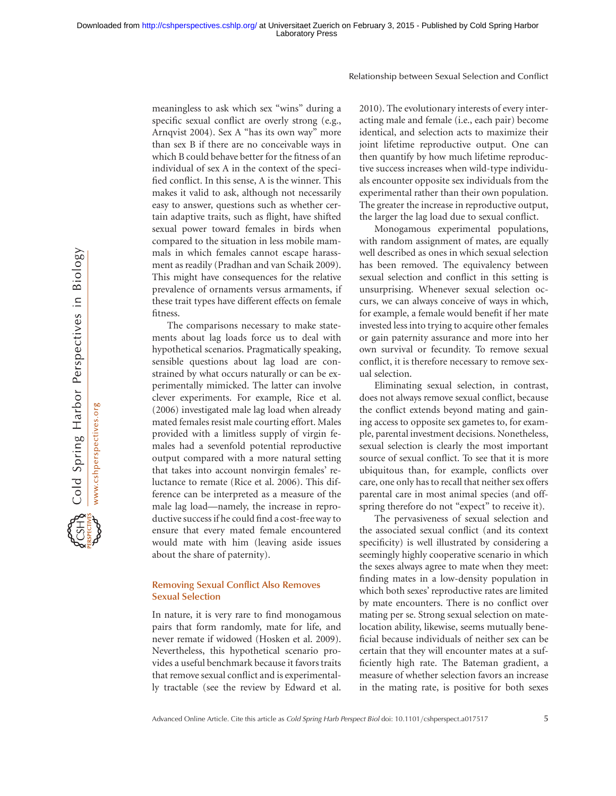Cold Spring Harbor Perspectives in Biology www.cshperspectives.org meaningless to ask which sex "wins" during a specific sexual conflict are overly strong (e.g., Arnqvist 2004). Sex A "has its own way" more than sex B if there are no conceivable ways in which B could behave better for the fitness of an individual of sex A in the context of the specified conflict. In this sense, A is the winner. This makes it valid to ask, although not necessarily easy to answer, questions such as whether certain adaptive traits, such as flight, have shifted sexual power toward females in birds when compared to the situation in less mobile mammals in which females cannot escape harassment as readily (Pradhan and van Schaik 2009). This might have consequences for the relative prevalence of ornaments versus armaments, if these trait types have different effects on female fitness.

The comparisons necessary to make statements about lag loads force us to deal with hypothetical scenarios. Pragmatically speaking, sensible questions about lag load are constrained by what occurs naturally or can be experimentally mimicked. The latter can involve clever experiments. For example, Rice et al. (2006) investigated male lag load when already mated females resist male courting effort. Males provided with a limitless supply of virgin females had a sevenfold potential reproductive output compared with a more natural setting that takes into account nonvirgin females' reluctance to remate (Rice et al. 2006). This difference can be interpreted as a measure of the male lag load—namely, the increase in reproductive success if he could find a cost-free way to ensure that every mated female encountered would mate with him (leaving aside issues about the share of paternity).

## Removing Sexual Conflict Also Removes Sexual Selection

In nature, it is very rare to find monogamous pairs that form randomly, mate for life, and never remate if widowed (Hosken et al. 2009). Nevertheless, this hypothetical scenario provides a useful benchmark because it favors traits that remove sexual conflict and is experimentally tractable (see the review by Edward et al.

2010). The evolutionary interests of every interacting male and female (i.e., each pair) become identical, and selection acts to maximize their joint lifetime reproductive output. One can then quantify by how much lifetime reproductive success increases when wild-type individuals encounter opposite sex individuals from the experimental rather than their own population. The greater the increase in reproductive output, the larger the lag load due to sexual conflict.

Monogamous experimental populations, with random assignment of mates, are equally well described as ones in which sexual selection has been removed. The equivalency between sexual selection and conflict in this setting is unsurprising. Whenever sexual selection occurs, we can always conceive of ways in which, for example, a female would benefit if her mate invested less into trying to acquire other females or gain paternity assurance and more into her own survival or fecundity. To remove sexual conflict, it is therefore necessary to remove sexual selection.

Eliminating sexual selection, in contrast, does not always remove sexual conflict, because the conflict extends beyond mating and gaining access to opposite sex gametes to, for example, parental investment decisions. Nonetheless, sexual selection is clearly the most important source of sexual conflict. To see that it is more ubiquitous than, for example, conflicts over care, one only has to recall that neither sex offers parental care in most animal species (and offspring therefore do not "expect" to receive it).

The pervasiveness of sexual selection and the associated sexual conflict (and its context specificity) is well illustrated by considering a seemingly highly cooperative scenario in which the sexes always agree to mate when they meet: finding mates in a low-density population in which both sexes' reproductive rates are limited by mate encounters. There is no conflict over mating per se. Strong sexual selection on matelocation ability, likewise, seems mutually beneficial because individuals of neither sex can be certain that they will encounter mates at a sufficiently high rate. The Bateman gradient, a measure of whether selection favors an increase in the mating rate, is positive for both sexes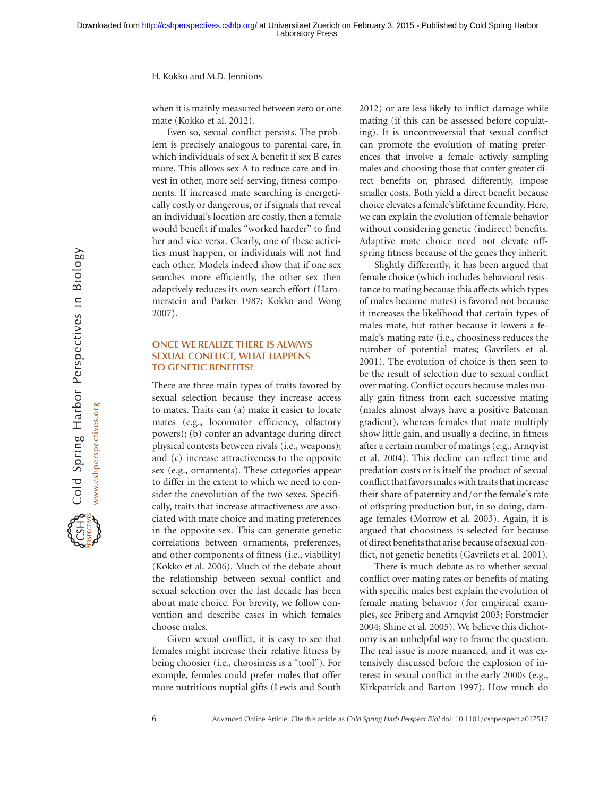when it is mainly measured between zero or one mate (Kokko et al. 2012).

Even so, sexual conflict persists. The problem is precisely analogous to parental care, in which individuals of sex A benefit if sex B cares more. This allows sex A to reduce care and invest in other, more self-serving, fitness components. If increased mate searching is energetically costly or dangerous, or if signals that reveal an individual's location are costly, then a female would benefit if males "worked harder" to find her and vice versa. Clearly, one of these activities must happen, or individuals will not find each other. Models indeed show that if one sex searches more efficiently, the other sex then adaptively reduces its own search effort (Hammerstein and Parker 1987; Kokko and Wong 2007).

## ONCE WE REALIZE THERE IS ALWAYS SEXUAL CONFLICT, WHAT HAPPENS TO GENETIC BENEFITS?

There are three main types of traits favored by sexual selection because they increase access to mates. Traits can (a) make it easier to locate mates (e.g., locomotor efficiency, olfactory powers); (b) confer an advantage during direct physical contests between rivals (i.e., weapons); and (c) increase attractiveness to the opposite sex (e.g., ornaments). These categories appear to differ in the extent to which we need to consider the coevolution of the two sexes. Specifically, traits that increase attractiveness are associated with mate choice and mating preferences in the opposite sex. This can generate genetic correlations between ornaments, preferences, and other components of fitness (i.e., viability) (Kokko et al. 2006). Much of the debate about the relationship between sexual conflict and sexual selection over the last decade has been about mate choice. For brevity, we follow convention and describe cases in which females choose males.

Given sexual conflict, it is easy to see that females might increase their relative fitness by being choosier (i.e., choosiness is a "tool"). For example, females could prefer males that offer more nutritious nuptial gifts (Lewis and South

2012) or are less likely to inflict damage while mating (if this can be assessed before copulating). It is uncontroversial that sexual conflict can promote the evolution of mating preferences that involve a female actively sampling males and choosing those that confer greater direct benefits or, phrased differently, impose smaller costs. Both yield a direct benefit because choice elevates afemale's lifetime fecundity. Here, we can explain the evolution of female behavior without considering genetic (indirect) benefits. Adaptive mate choice need not elevate offspring fitness because of the genes they inherit.

Slightly differently, it has been argued that female choice (which includes behavioral resistance to mating because this affects which types of males become mates) is favored not because it increases the likelihood that certain types of males mate, but rather because it lowers a female's mating rate (i.e., choosiness reduces the number of potential mates; Gavrilets et al. 2001). The evolution of choice is then seen to be the result of selection due to sexual conflict over mating. Conflict occurs because males usually gain fitness from each successive mating (males almost always have a positive Bateman gradient), whereas females that mate multiply show little gain, and usually a decline, in fitness after a certain number of matings (e.g., Arnqvist et al. 2004). This decline can reflect time and predation costs or is itself the product of sexual conflict that favors males with traits that increase their share of paternity and/or the female's rate of offspring production but, in so doing, damage females (Morrow et al. 2003). Again, it is argued that choosiness is selected for because of direct benefits that arise because of sexual conflict, not genetic benefits (Gavrilets et al. 2001).

There is much debate as to whether sexual conflict over mating rates or benefits of mating with specific males best explain the evolution of female mating behavior (for empirical examples, see Friberg and Arnqvist 2003; Forstmeier 2004; Shine et al. 2005). We believe this dichotomy is an unhelpful way to frame the question. The real issue is more nuanced, and it was extensively discussed before the explosion of interest in sexual conflict in the early 2000s (e.g., Kirkpatrick and Barton 1997). How much do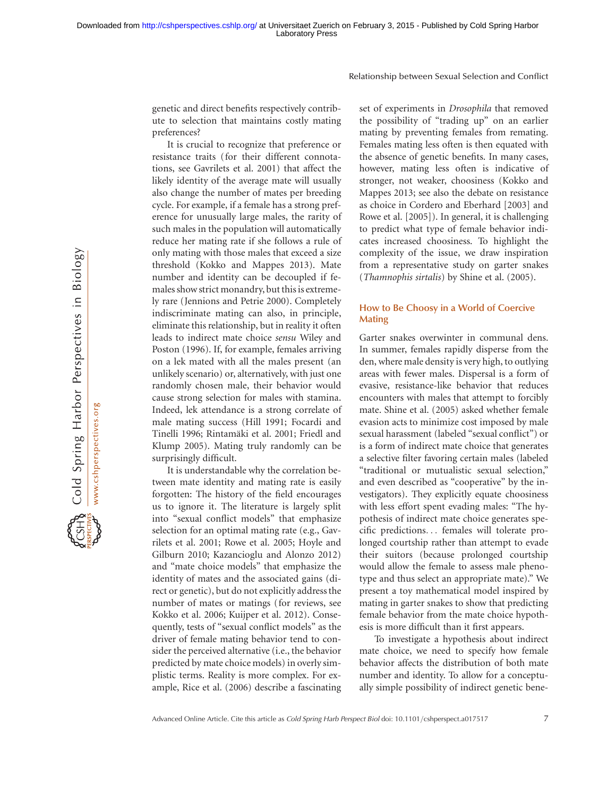genetic and direct benefits respectively contribute to selection that maintains costly mating preferences?

It is crucial to recognize that preference or resistance traits (for their different connotations, see Gavrilets et al. 2001) that affect the likely identity of the average mate will usually also change the number of mates per breeding cycle. For example, if a female has a strong preference for unusually large males, the rarity of such males in the population will automatically reduce her mating rate if she follows a rule of only mating with those males that exceed a size threshold (Kokko and Mappes 2013). Mate number and identity can be decoupled if females show strict monandry, but this is extremely rare (Jennions and Petrie 2000). Completely indiscriminate mating can also, in principle, eliminate this relationship, but in reality it often leads to indirect mate choice sensu Wiley and Poston (1996). If, for example, females arriving on a lek mated with all the males present (an unlikely scenario) or, alternatively, with just one randomly chosen male, their behavior would cause strong selection for males with stamina. Indeed, lek attendance is a strong correlate of male mating success (Hill 1991; Focardi and Tinelli 1996; Rintamäki et al. 2001; Friedl and Klump 2005). Mating truly randomly can be surprisingly difficult.

It is understandable why the correlation between mate identity and mating rate is easily forgotten: The history of the field encourages us to ignore it. The literature is largely split into "sexual conflict models" that emphasize selection for an optimal mating rate (e.g., Gavrilets et al. 2001; Rowe et al. 2005; Hoyle and Gilburn 2010; Kazancioglu and Alonzo 2012) and "mate choice models" that emphasize the identity of mates and the associated gains (direct or genetic), but do not explicitly address the number of mates or matings (for reviews, see Kokko et al. 2006; Kuijper et al. 2012). Consequently, tests of "sexual conflict models" as the driver of female mating behavior tend to consider the perceived alternative (i.e., the behavior predicted by mate choice models) in overly simplistic terms. Reality is more complex. For example, Rice et al. (2006) describe a fascinating set of experiments in Drosophila that removed the possibility of "trading up" on an earlier mating by preventing females from remating. Females mating less often is then equated with the absence of genetic benefits. In many cases, however, mating less often is indicative of stronger, not weaker, choosiness (Kokko and Mappes 2013; see also the debate on resistance as choice in Cordero and Eberhard [2003] and Rowe et al. [2005]). In general, it is challenging to predict what type of female behavior indicates increased choosiness. To highlight the complexity of the issue, we draw inspiration from a representative study on garter snakes (Thamnophis sirtalis) by Shine et al. (2005).

## How to Be Choosy in a World of Coercive Mating

Garter snakes overwinter in communal dens. In summer, females rapidly disperse from the den, where male density is very high, to outlying areas with fewer males. Dispersal is a form of evasive, resistance-like behavior that reduces encounters with males that attempt to forcibly mate. Shine et al. (2005) asked whether female evasion acts to minimize cost imposed by male sexual harassment (labeled "sexual conflict") or is a form of indirect mate choice that generates a selective filter favoring certain males (labeled "traditional or mutualistic sexual selection," and even described as "cooperative" by the investigators). They explicitly equate choosiness with less effort spent evading males: "The hypothesis of indirect mate choice generates specific predictions... females will tolerate prolonged courtship rather than attempt to evade their suitors (because prolonged courtship would allow the female to assess male phenotype and thus select an appropriate mate)." We present a toy mathematical model inspired by mating in garter snakes to show that predicting female behavior from the mate choice hypothesis is more difficult than it first appears.

To investigate a hypothesis about indirect mate choice, we need to specify how female behavior affects the distribution of both mate number and identity. To allow for a conceptually simple possibility of indirect genetic bene-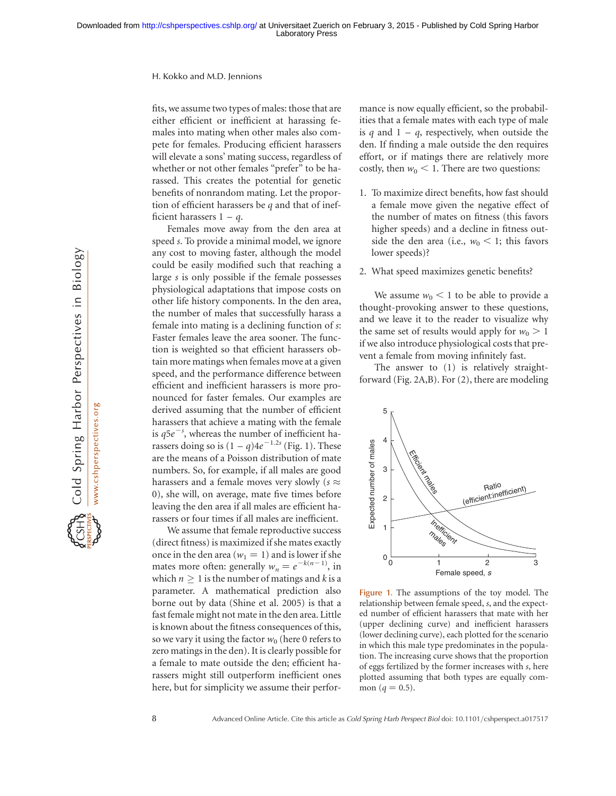fits, we assume two types of males: those that are either efficient or inefficient at harassing females into mating when other males also compete for females. Producing efficient harassers will elevate a sons' mating success, regardless of whether or not other females "prefer" to be harassed. This creates the potential for genetic benefits of nonrandom mating. Let the proportion of efficient harassers be  $q$  and that of inefficient harassers  $1 - q$ .

Females move away from the den area at speed s. To provide a minimal model, we ignore any cost to moving faster, although the model could be easily modified such that reaching a large s is only possible if the female possesses physiological adaptations that impose costs on other life history components. In the den area, the number of males that successfully harass a female into mating is a declining function of s: Faster females leave the area sooner. The function is weighted so that efficient harassers obtain more matings when females move at a given speed, and the performance difference between efficient and inefficient harassers is more pronounced for faster females. Our examples are derived assuming that the number of efficient harassers that achieve a mating with the female is  $q5e^{-s}$ , whereas the number of inefficient harassers doing so is  $(1 - q)4e^{-1.2s}$  (Fig. 1). These are the means of a Poisson distribution of mate numbers. So, for example, if all males are good harassers and a female moves very slowly (5  $\approx$ 0), she will, on average, mate five times before leaving the den area if all males are efficient harassers or four times if all males are inefficient.

We assume that female reproductive success (direct fitness) is maximized if she mates exactly once in the den area ( $w_1 = 1$ ) and is lower if she mates more often: generally  $w_n = e^{-k(n-1)}$ , in which  $n \geq 1$  is the number of matings and k is a parameter. A mathematical prediction also borne out by data (Shine et al. 2005) is that a fast female might not mate in the den area. Little is known about the fitness consequences of this, so we vary it using the factor  $w_0$  (here 0 refers to zero matings in the den). It is clearly possible for a female to mate outside the den; efficient harassers might still outperform inefficient ones here, but for simplicity we assume their performance is now equally efficient, so the probabilities that a female mates with each type of male is q and  $1 - q$ , respectively, when outside the den. If finding a male outside the den requires effort, or if matings there are relatively more costly, then  $w_0$  < 1. There are two questions:

- 1. To maximize direct benefits, how fast should a female move given the negative effect of the number of mates on fitness (this favors higher speeds) and a decline in fitness outside the den area (i.e.,  $w_0 < 1$ ; this favors lower speeds)?
- 2. What speed maximizes genetic benefits?

We assume  $w_0 < 1$  to be able to provide a thought-provoking answer to these questions, and we leave it to the reader to visualize why the same set of results would apply for  $w_0 > 1$ if we also introduce physiological costs that prevent a female from moving infinitely fast.

The answer to (1) is relatively straightforward (Fig. 2A,B). For (2), there are modeling



Figure 1. The assumptions of the toy model. The relationship between female speed, s, and the expected number of efficient harassers that mate with her (upper declining curve) and inefficient harassers (lower declining curve), each plotted for the scenario in which this male type predominates in the population. The increasing curve shows that the proportion of eggs fertilized by the former increases with s, here plotted assuming that both types are equally common  $(q = 0.5)$ .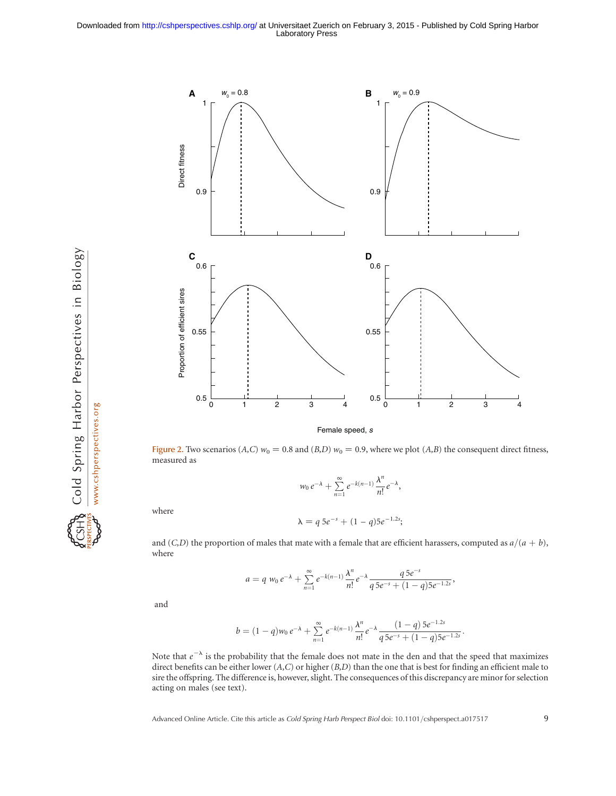Laboratory Press Downloaded from<http://cshperspectives.cshlp.org/>at Universitaet Zuerich on February 3, 2015 - Published by Cold Spring Harbor





Figure 2. Two scenarios (A,C)  $w_0 = 0.8$  and (B,D)  $w_0 = 0.9$ , where we plot (A,B) the consequent direct fitness, measured as

 $w_0 e^{-\lambda} + \sum_{n=1}^{\infty} e^{-k(n-1)} \frac{\lambda^n}{n!} e^{-\lambda},$ 

where

$$
\lambda = q 5e^{-s} + (1 - q)5e^{-1.2s};
$$

and  $(C,D)$  the proportion of males that mate with a female that are efficient harassers, computed as  $a/(a + b)$ , where

$$
a = q w_0 e^{-\lambda} + \sum_{n=1}^{\infty} e^{-k(n-1)} \frac{\lambda^n}{n!} e^{-\lambda} \frac{q 5 e^{-s}}{q 5 e^{-s} + (1-q) 5 e^{-1.2s}},
$$

and

$$
b = (1-q)w_0 e^{-\lambda} + \sum_{n=1}^{\infty} e^{-k(n-1)} \frac{\lambda^n}{n!} e^{-\lambda} \frac{(1-q) 5e^{-1.2s}}{q 5e^{-s} + (1-q) 5e^{-1.2s}}.
$$

Note that  $e^{-\lambda}$  is the probability that the female does not mate in the den and that the speed that maximizes direct benefits can be either lower  $(A, C)$  or higher  $(B, D)$  than the one that is best for finding an efficient male to sire the offspring. The difference is, however, slight. The consequences of this discrepancy are minor for selection acting on males (see text).

Advanced Online Article. Cite this article as Cold Spring Harb Perspect Biol doi: 10.1101/cshperspect.a017517 9

Cold Spring Harbor Perspectives in Biology www.cshperspectives.org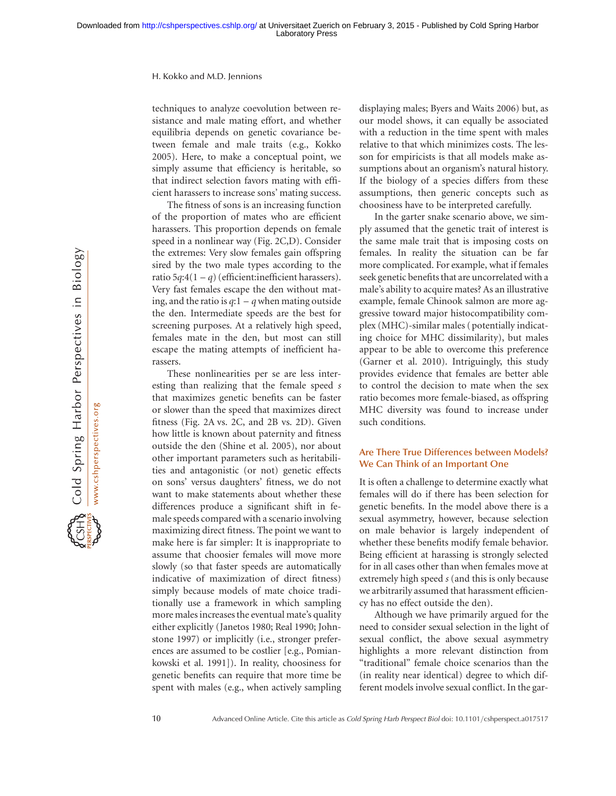techniques to analyze coevolution between resistance and male mating effort, and whether equilibria depends on genetic covariance between female and male traits (e.g., Kokko 2005). Here, to make a conceptual point, we simply assume that efficiency is heritable, so that indirect selection favors mating with efficient harassers to increase sons' mating success.

The fitness of sons is an increasing function of the proportion of mates who are efficient harassers. This proportion depends on female speed in a nonlinear way (Fig. 2C,D). Consider the extremes: Very slow females gain offspring sired by the two male types according to the ratio 5q:4(1 – q) (efficient:inefficient harassers). Very fast females escape the den without mating, and the ratio is  $q:1 - q$  when mating outside the den. Intermediate speeds are the best for screening purposes. At a relatively high speed, females mate in the den, but most can still escape the mating attempts of inefficient harassers.

These nonlinearities per se are less interesting than realizing that the female speed s that maximizes genetic benefits can be faster or slower than the speed that maximizes direct fitness (Fig. 2A vs. 2C, and 2B vs. 2D). Given how little is known about paternity and fitness outside the den (Shine et al. 2005), nor about other important parameters such as heritabilities and antagonistic (or not) genetic effects on sons' versus daughters' fitness, we do not want to make statements about whether these differences produce a significant shift in female speeds compared with a scenario involving maximizing direct fitness. The point we want to make here is far simpler: It is inappropriate to assume that choosier females will move more slowly (so that faster speeds are automatically indicative of maximization of direct fitness) simply because models of mate choice traditionally use a framework in which sampling more males increases the eventual mate's quality either explicitly (Janetos 1980; Real 1990; Johnstone 1997) or implicitly (i.e., stronger preferences are assumed to be costlier [e.g., Pomiankowski et al. 1991]). In reality, choosiness for genetic benefits can require that more time be spent with males (e.g., when actively sampling displaying males; Byers and Waits 2006) but, as our model shows, it can equally be associated with a reduction in the time spent with males relative to that which minimizes costs. The lesson for empiricists is that all models make assumptions about an organism's natural history. If the biology of a species differs from these assumptions, then generic concepts such as choosiness have to be interpreted carefully.

In the garter snake scenario above, we simply assumed that the genetic trait of interest is the same male trait that is imposing costs on females. In reality the situation can be far more complicated. For example, what if females seek genetic benefits that are uncorrelated with a male's ability to acquire mates? As an illustrative example, female Chinook salmon are more aggressive toward major histocompatibility complex (MHC)-similar males ( potentially indicating choice for MHC dissimilarity), but males appear to be able to overcome this preference (Garner et al. 2010). Intriguingly, this study provides evidence that females are better able to control the decision to mate when the sex ratio becomes more female-biased, as offspring MHC diversity was found to increase under such conditions.

## Are There True Differences between Models? We Can Think of an Important One

It is often a challenge to determine exactly what females will do if there has been selection for genetic benefits. In the model above there is a sexual asymmetry, however, because selection on male behavior is largely independent of whether these benefits modify female behavior. Being efficient at harassing is strongly selected for in all cases other than when females move at extremely high speed s (and this is only because we arbitrarily assumed that harassment efficiency has no effect outside the den).

Although we have primarily argued for the need to consider sexual selection in the light of sexual conflict, the above sexual asymmetry highlights a more relevant distinction from "traditional" female choice scenarios than the (in reality near identical) degree to which different models involve sexual conflict. In the gar-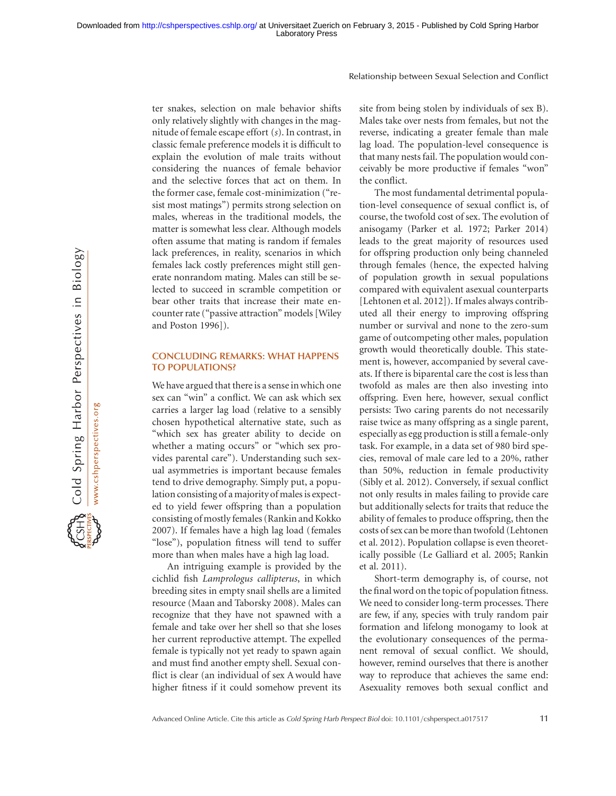ter snakes, selection on male behavior shifts only relatively slightly with changes in the magnitude of female escape effort (s). In contrast, in classic female preference models it is difficult to explain the evolution of male traits without considering the nuances of female behavior and the selective forces that act on them. In the former case, female cost-minimization ("resist most matings") permits strong selection on males, whereas in the traditional models, the matter is somewhat less clear. Although models often assume that mating is random if females lack preferences, in reality, scenarios in which females lack costly preferences might still generate nonrandom mating. Males can still be selected to succeed in scramble competition or bear other traits that increase their mate encounter rate ("passive attraction" models [Wiley and Poston 1996]).

## CONCLUDING REMARKS: WHAT HAPPENS TO POPULATIONS?

We have argued that there is a sense in which one sex can "win" a conflict. We can ask which sex carries a larger lag load (relative to a sensibly chosen hypothetical alternative state, such as "which sex has greater ability to decide on whether a mating occurs" or "which sex provides parental care"). Understanding such sexual asymmetries is important because females tend to drive demography. Simply put, a population consisting of a majority of males is expected to yield fewer offspring than a population consisting of mostly females (Rankin and Kokko 2007). If females have a high lag load (females "lose"), population fitness will tend to suffer more than when males have a high lag load.

An intriguing example is provided by the cichlid fish Lamprologus callipterus, in which breeding sites in empty snail shells are a limited resource (Maan and Taborsky 2008). Males can recognize that they have not spawned with a female and take over her shell so that she loses her current reproductive attempt. The expelled female is typically not yet ready to spawn again and must find another empty shell. Sexual conflict is clear (an individual of sex A would have higher fitness if it could somehow prevent its

site from being stolen by individuals of sex B). Males take over nests from females, but not the reverse, indicating a greater female than male lag load. The population-level consequence is that many nests fail. The population would conceivably be more productive if females "won" the conflict.

The most fundamental detrimental population-level consequence of sexual conflict is, of course, the twofold cost of sex. The evolution of anisogamy (Parker et al. 1972; Parker 2014) leads to the great majority of resources used for offspring production only being channeled through females (hence, the expected halving of population growth in sexual populations compared with equivalent asexual counterparts [Lehtonen et al. 2012]). If males always contributed all their energy to improving offspring number or survival and none to the zero-sum game of outcompeting other males, population growth would theoretically double. This statement is, however, accompanied by several caveats. If there is biparental care the cost is less than twofold as males are then also investing into offspring. Even here, however, sexual conflict persists: Two caring parents do not necessarily raise twice as many offspring as a single parent, especially as egg production is still a female-only task. For example, in a data set of 980 bird species, removal of male care led to a 20%, rather than 50%, reduction in female productivity (Sibly et al. 2012). Conversely, if sexual conflict not only results in males failing to provide care but additionally selects for traits that reduce the ability of females to produce offspring, then the costs of sex can be more than twofold (Lehtonen et al. 2012). Population collapse is even theoretically possible (Le Galliard et al. 2005; Rankin et al. 2011).

Short-term demography is, of course, not the final word on the topic of population fitness. We need to consider long-term processes. There are few, if any, species with truly random pair formation and lifelong monogamy to look at the evolutionary consequences of the permanent removal of sexual conflict. We should, however, remind ourselves that there is another way to reproduce that achieves the same end: Asexuality removes both sexual conflict and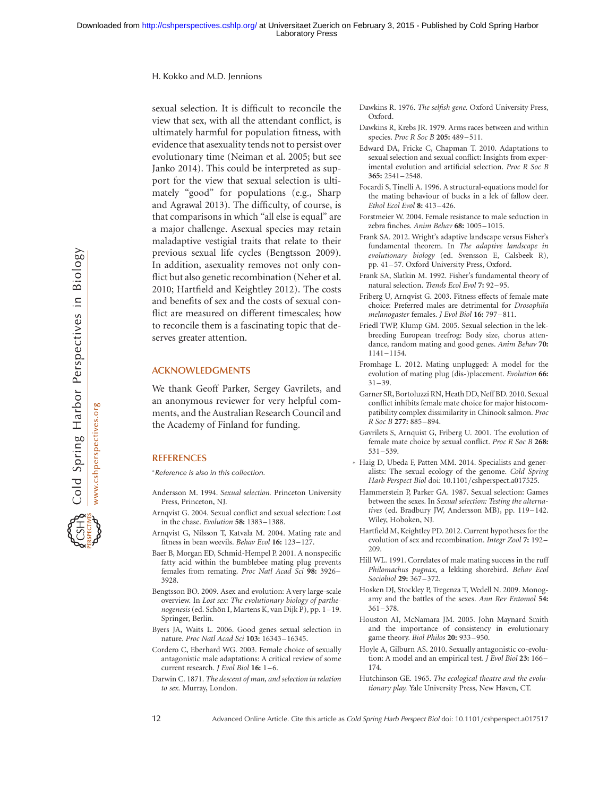sexual selection. It is difficult to reconcile the view that sex, with all the attendant conflict, is ultimately harmful for population fitness, with evidence that asexuality tends not to persist over evolutionary time (Neiman et al. 2005; but see Janko 2014). This could be interpreted as support for the view that sexual selection is ultimately "good" for populations (e.g., Sharp and Agrawal 2013). The difficulty, of course, is that comparisons in which "all else is equal" are a major challenge. Asexual species may retain maladaptive vestigial traits that relate to their previous sexual life cycles (Bengtsson 2009). In addition, asexuality removes not only conflict but also genetic recombination (Neher et al. 2010; Hartfield and Keightley 2012). The costs and benefits of sex and the costs of sexual conflict are measured on different timescales; how to reconcile them is a fascinating topic that deserves greater attention.

## ACKNOWLEDGMENTS

We thank Geoff Parker, Sergey Gavrilets, and an anonymous reviewer for very helpful comments, and the Australian Research Council and the Academy of Finland for funding.

#### **REFERENCES**

Cold Spring Harbor Perspectives in Biology

www.cshperspectives.org

Reference is also in this collection.

- Andersson M. 1994. Sexual selection. Princeton University Press, Princeton, NJ.
- Arnqvist G. 2004. Sexual conflict and sexual selection: Lost in the chase. Evolution 58: 1383–1388.
- Arnqvist G, Nilsson T, Katvala M. 2004. Mating rate and fitness in bean weevils. Behav Ecol 16: 123–127.
- Baer B, Morgan ED, Schmid-Hempel P. 2001. A nonspecific fatty acid within the bumblebee mating plug prevents females from remating. Proc Natl Acad Sci 98: 3926– 3928.
- Bengtsson BO. 2009. Asex and evolution: A very large-scale overview. In Lost sex: The evolutionary biology of parthenogenesis (ed. Schön I, Martens K, van Dijk P), pp. 1-19. Springer, Berlin.
- Byers JA, Waits L. 2006. Good genes sexual selection in nature. Proc Natl Acad Sci 103: 16343–16345.
- Cordero C, Eberhard WG. 2003. Female choice of sexually antagonistic male adaptations: A critical review of some current research. J Evol Biol 16: 1-6.
- Darwin C. 1871. The descent of man, and selection in relation to sex. Murray, London.

Dawkins R. 1976. The selfish gene. Oxford University Press, Oxford.

- Dawkins R, Krebs JR. 1979. Arms races between and within species. Proc R Soc B 205: 489-511.
- Edward DA, Fricke C, Chapman T. 2010. Adaptations to sexual selection and sexual conflict: Insights from experimental evolution and artificial selection. Proc R Soc B 365: 2541–2548.
- Focardi S, Tinelli A. 1996. A structural-equations model for the mating behaviour of bucks in a lek of fallow deer. Ethol Ecol Evol 8: 413-426.
- Forstmeier W. 2004. Female resistance to male seduction in zebra finches. Anim Behav 68: 1005–1015.
- Frank SA. 2012. Wright's adaptive landscape versus Fisher's fundamental theorem. In The adaptive landscape in evolutionary biology (ed. Svensson E, Calsbeek R), pp. 41–57. Oxford University Press, Oxford.
- Frank SA, Slatkin M. 1992. Fisher's fundamental theory of natural selection. Trends Ecol Evol 7: 92–95.
- Friberg U, Arnqvist G. 2003. Fitness effects of female mate choice: Preferred males are detrimental for Drosophila melanogaster females. J Evol Biol 16: 797–811.
- Friedl TWP, Klump GM. 2005. Sexual selection in the lekbreeding European treefrog: Body size, chorus attendance, random mating and good genes. Anim Behav 70: 1141–1154.
- Fromhage L. 2012. Mating unplugged: A model for the evolution of mating plug (dis-)placement. Evolution 66:  $31 - 39.$
- Garner SR, Bortoluzzi RN, Heath DD, Neff BD. 2010. Sexual conflict inhibits female mate choice for major histocompatibility complex dissimilarity in Chinook salmon. Proc R Soc B 277: 885–894.
- Gavrilets S, Arnquist G, Friberg U. 2001. The evolution of female mate choice by sexual conflict. Proc R Soc B 268: 531 –539.
- Haig D, Ubeda F, Patten MM. 2014. Specialists and generalists: The sexual ecology of the genome. Cold Spring Harb Perspect Biol doi: 10.1101/cshperspect.a017525.
- Hammerstein P, Parker GA. 1987. Sexual selection: Games between the sexes. In Sexual selection: Testing the alternatives (ed. Bradbury JW, Andersson MB), pp. 119–142. Wiley, Hoboken, NJ.
- Hartfield M, Keightley PD. 2012. Current hypotheses for the evolution of sex and recombination. Integr Zool 7: 192– 209.
- Hill WL. 1991. Correlates of male mating success in the ruff Philomachus pugnax, a lekking shorebird. Behav Ecol Sociobiol 29: 367–372.
- Hosken DJ, Stockley P, Tregenza T, Wedell N. 2009. Monogamy and the battles of the sexes. Ann Rev Entomol 54:  $361 - 378.$
- Houston AI, McNamara JM. 2005. John Maynard Smith and the importance of consistency in evolutionary game theory. Biol Philos 20: 933–950.
- Hoyle A, Gilburn AS. 2010. Sexually antagonistic co-evolution: A model and an empirical test. J Evol Biol 23: 166– 174.
- Hutchinson GE. 1965. The ecological theatre and the evolutionary play. Yale University Press, New Haven, CT.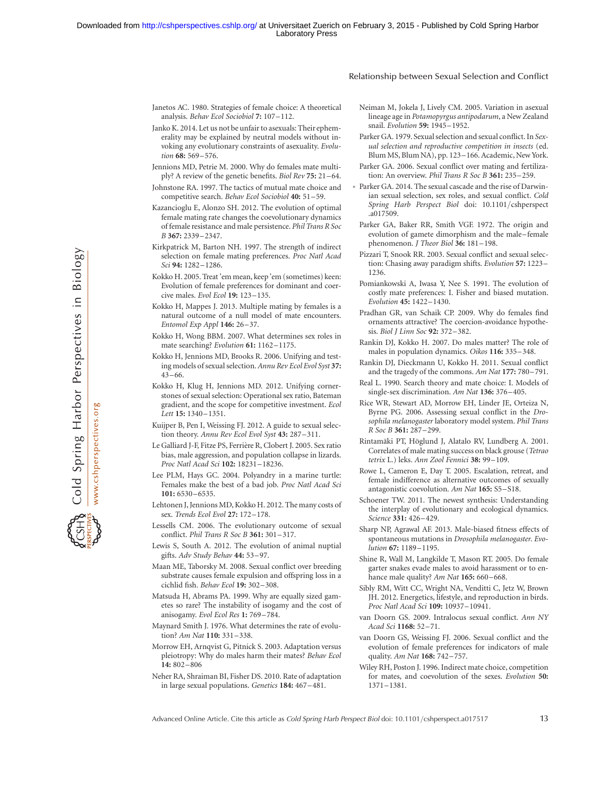- Janetos AC. 1980. Strategies of female choice: A theoretical analysis. Behav Ecol Sociobiol 7: 107-112.
- Janko K. 2014. Let us not be unfair to asexuals: Their ephemerality may be explained by neutral models without invoking any evolutionary constraints of asexuality. Evolution 68: 569–576.
- Jennions MD, Petrie M. 2000. Why do females mate multiply? A review of the genetic benefits. Biol Rev 75: 21–64.
- Johnstone RA. 1997. The tactics of mutual mate choice and competitive search. Behav Ecol Sociobiol 40: 51–59.
- Kazancioglu E, Alonzo SH. 2012. The evolution of optimal female mating rate changes the coevolutionary dynamics of female resistance and male persistence. Phil Trans R Soc B 367: 2339–2347.
- Kirkpatrick M, Barton NH. 1997. The strength of indirect selection on female mating preferences. Proc Natl Acad Sci 94: 1282–1286.
- Kokko H. 2005. Treat 'em mean, keep 'em (sometimes) keen: Evolution of female preferences for dominant and coercive males. Evol Ecol 19: 123–135.
- Kokko H, Mappes J. 2013. Multiple mating by females is a natural outcome of a null model of mate encounters. Entomol Exp Appl 146: 26–37.
- Kokko H, Wong BBM. 2007. What determines sex roles in mate searching? Evolution 61: 1162–1175.
- Kokko H, Jennions MD, Brooks R. 2006. Unifying and testing models of sexual selection. Annu Rev Ecol Evol Syst 37: 43–66.
- Kokko H, Klug H, Jennions MD. 2012. Unifying cornerstones of sexual selection: Operational sex ratio, Bateman gradient, and the scope for competitive investment. Ecol Lett 15: 1340–1351.
- Kuijper B, Pen I, Weissing FJ. 2012. A guide to sexual selection theory. Annu Rev Ecol Evol Syst 43: 287-311.
- Le Galliard J-F, Fitze PS, Ferrière R, Clobert J. 2005. Sex ratio bias, male aggression, and population collapse in lizards. Proc Natl Acad Sci 102: 18231–18236.
- Lee PLM, Hays GC. 2004. Polyandry in a marine turtle: Females make the best of a bad job. Proc Natl Acad Sci 101: 6530–6535.
- Lehtonen J, Jennions MD, Kokko H. 2012. The many costs of sex. Trends Ecol Evol 27: 172-178.
- Lessells CM. 2006. The evolutionary outcome of sexual conflict. Phil Trans R Soc B 361: 301-317.
- Lewis S, South A. 2012. The evolution of animal nuptial gifts. Adv Study Behav 44: 53-97.
- Maan ME, Taborsky M. 2008. Sexual conflict over breeding substrate causes female expulsion and offspring loss in a cichlid fish. Behav Ecol 19: 302–308.
- Matsuda H, Abrams PA. 1999. Why are equally sized gametes so rare? The instability of isogamy and the cost of anisogamy. Evol Ecol Res 1: 769–784.
- Maynard Smith J. 1976. What determines the rate of evolution? Am Nat 110: 331-338.
- Morrow EH, Arnqvist G, Pitnick S. 2003. Adaptation versus pleiotropy: Why do males harm their mates? Behav Ecol 14: 802 –806
- Neher RA, Shraiman BI, Fisher DS. 2010. Rate of adaptation in large sexual populations. Genetics 184: 467–481.
- Neiman M, Jokela J, Lively CM. 2005. Variation in asexual lineage age in Potamopyrgus antipodarum, a New Zealand snail. Evolution 59: 1945–1952.
- Parker GA. 1979. Sexual selection and sexual conflict. In Sexual selection and reproductive competition in insects (ed. Blum MS, Blum NA), pp. 123 –166. Academic, New York.
- Parker GA. 2006. Sexual conflict over mating and fertilization: An overview. Phil Trans R Soc B 361: 235-259.
- Parker GA. 2014. The sexual cascade and the rise of Darwinian sexual selection, sex roles, and sexual conflict. Cold Spring Harb Perspect Biol doi: 10.1101/cshperspect .a017509.
- Parker GA, Baker RR, Smith VGF. 1972. The origin and evolution of gamete dimorphism and the male–female phenomenon. J Theor Biol 36: 181-198.
- Pizzari T, Snook RR. 2003. Sexual conflict and sexual selection: Chasing away paradigm shifts. Evolution 57: 1223– 1236.
- Pomiankowski A, Iwasa Y, Nee S. 1991. The evolution of costly mate preferences: I. Fisher and biased mutation. Evolution 45: 1422–1430.
- Pradhan GR, van Schaik CP. 2009. Why do females find ornaments attractive? The coercion-avoidance hypothesis. Biol J Linn Soc 92: 372–382.
- Rankin DJ, Kokko H. 2007. Do males matter? The role of males in population dynamics. Oikos 116: 335–348.
- Rankin DJ, Dieckmann U, Kokko H. 2011. Sexual conflict and the tragedy of the commons. Am Nat 177: 780–791.
- Real L. 1990. Search theory and mate choice: I. Models of single-sex discrimination. Am Nat 136: 376–405.
- Rice WR, Stewart AD, Morrow EH, Linder JE, Orteiza N, Byrne PG. 2006. Assessing sexual conflict in the Drosophila melanogaster laboratory model system. Phil Trans R Soc B 361: 287–299.
- Rintamäki PT, Höglund J, Alatalo RV, Lundberg A. 2001. Correlates of male mating success on black grouse (Tetrao tetrix L.) leks. Ann Zool Fennici 38: 99–109.
- Rowe L, Cameron E, Day T. 2005. Escalation, retreat, and female indifference as alternative outcomes of sexually antagonistic coevolution. Am Nat 165: S5–S18.
- Schoener TW. 2011. The newest synthesis: Understanding the interplay of evolutionary and ecological dynamics. Science 331: 426–429.
- Sharp NP, Agrawal AF. 2013. Male-biased fitness effects of spontaneous mutations in Drosophila melanogaster. Evolution 67: 1189–1195.
- Shine R, Wall M, Langkilde T, Mason RT. 2005. Do female garter snakes evade males to avoid harassment or to enhance male quality? Am Nat 165: 660-668.
- Sibly RM, Witt CC, Wright NA, Venditti C, Jetz W, Brown JH. 2012. Energetics, lifestyle, and reproduction in birds. Proc Natl Acad Sci 109: 10937–10941.
- van Doorn GS. 2009. Intralocus sexual conflict. Ann NY Acad Sci 1168: 52–71.
- van Doorn GS, Weissing FJ. 2006. Sexual conflict and the evolution of female preferences for indicators of male quality. Am Nat 168: 742–757.
- Wiley RH, Poston J. 1996. Indirect mate choice, competition for mates, and coevolution of the sexes. Evolution 50: 1371–1381.

Advanced Online Article. Cite this article as Cold Spring Harb Perspect Biol doi: 10.1101/cshperspect.a017517 13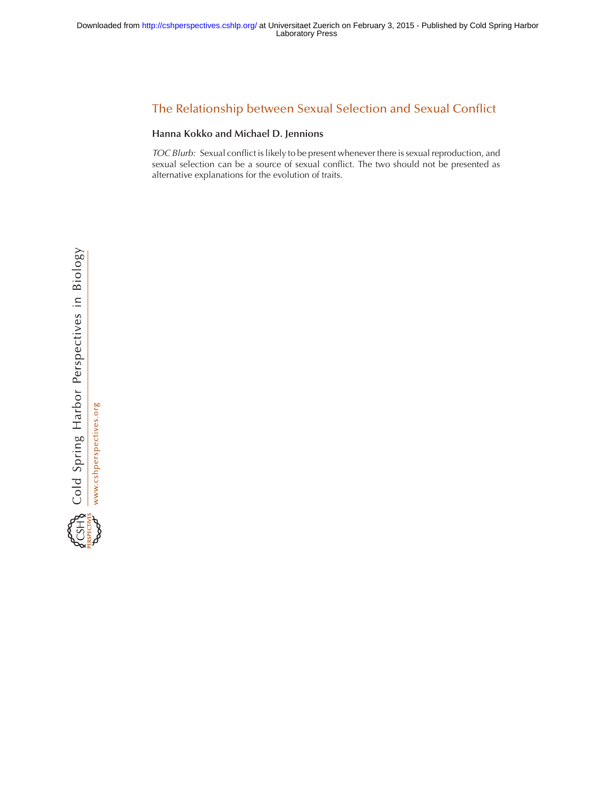## Hanna Kokko and Michael D. Jennions

TOC Blurb: Sexual conflict is likely to be present whenever there is sexual reproduction, and sexual selection can be a source of sexual conflict. The two should not be presented as alternative explanations for the evolution of traits.